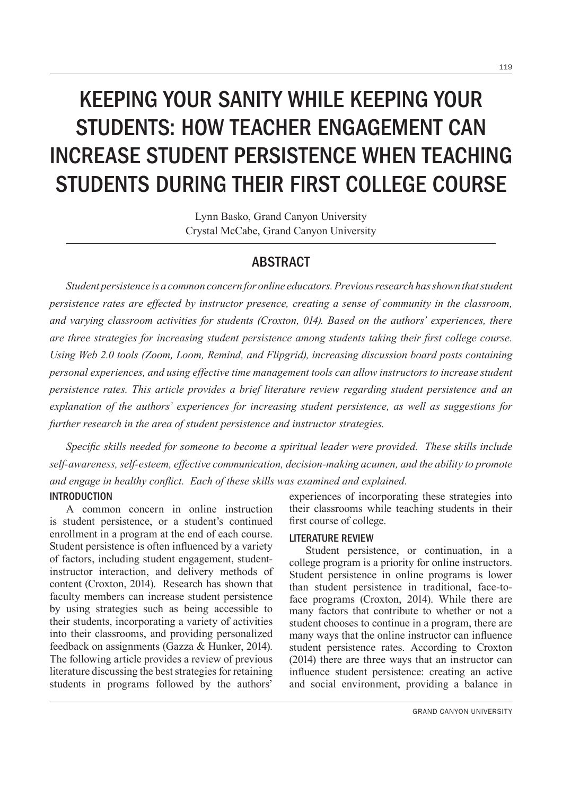# KEEPING YOUR SANITY WHILE KEEPING YOUR STUDENTS: HOW TEACHER ENGAGEMENT CAN INCREASE STUDENT PERSISTENCE WHEN TEACHING STUDENTS DURING THEIR FIRST COLLEGE COURSE

Lynn Basko, Grand Canyon University Crystal McCabe, Grand Canyon University

# ABSTRACT

*Student persistence is a common concern for online educators. Previous research has shown that student persistence rates are effected by instructor presence, creating a sense of community in the classroom, and varying classroom activities for students (Croxton, 014). Based on the authors' experiences, there*  are three strategies for increasing student persistence among students taking their first college course. *Using Web 2.0 tools (Zoom, Loom, Remind, and Flipgrid), increasing discussion board posts containing personal experiences, and using effective time management tools can allow instructors to increase student persistence rates. This article provides a brief literature review regarding student persistence and an explanation of the authors' experiences for increasing student persistence, as well as suggestions for further research in the area of student persistence and instructor strategies.*

*Specific skills needed for someone to become a spiritual leader were provided. These skills include self-awareness, self-esteem, effective communication, decision-making acumen, and the ability to promote*  and engage in healthy conflict. Each of these skills was examined and explained. INTRODUCTION

A common concern in online instruction is student persistence, or a student's continued enrollment in a program at the end of each course. Student persistence is often influenced by a variety of factors, including student engagement, studentinstructor interaction, and delivery methods of content (Croxton, 2014). Research has shown that faculty members can increase student persistence by using strategies such as being accessible to their students, incorporating a variety of activities into their classrooms, and providing personalized feedback on assignments (Gazza & Hunker, 2014). The following article provides a review of previous literature discussing the best strategies for retaining students in programs followed by the authors'

experiences of incorporating these strategies into their classrooms while teaching students in their first course of college.

## LITERATURE REVIEW

Student persistence, or continuation, in a college program is a priority for online instructors. Student persistence in online programs is lower than student persistence in traditional, face-toface programs (Croxton, 2014). While there are many factors that contribute to whether or not a student chooses to continue in a program, there are many ways that the online instructor can influence student persistence rates. According to Croxton (2014) there are three ways that an instructor can influence student persistence: creating an active and social environment, providing a balance in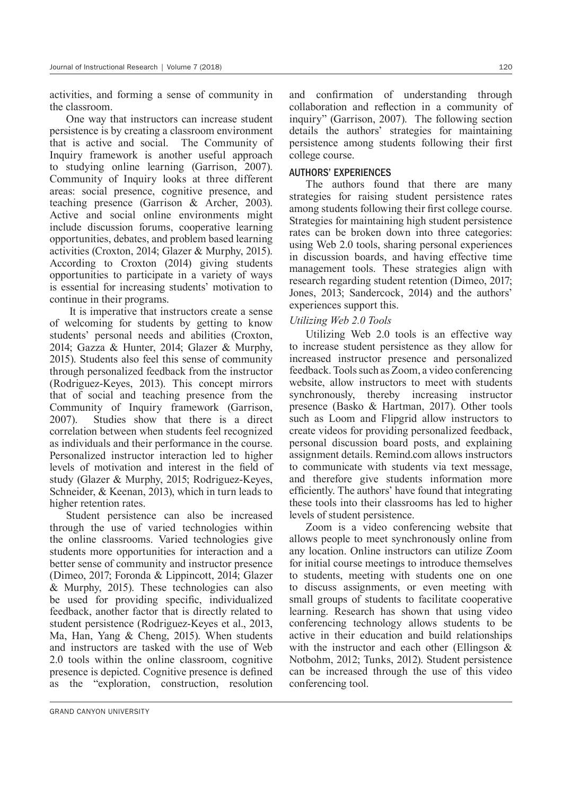activities, and forming a sense of community in the classroom.

One way that instructors can increase student persistence is by creating a classroom environment that is active and social. The Community of Inquiry framework is another useful approach to studying online learning (Garrison, 2007). Community of Inquiry looks at three different areas: social presence, cognitive presence, and teaching presence (Garrison & Archer, 2003). Active and social online environments might include discussion forums, cooperative learning opportunities, debates, and problem based learning activities (Croxton, 2014; Glazer & Murphy, 2015). According to Croxton (2014) giving students opportunities to participate in a variety of ways is essential for increasing students' motivation to continue in their programs.

 It is imperative that instructors create a sense of welcoming for students by getting to know students' personal needs and abilities (Croxton, 2014; Gazza & Hunter, 2014; Glazer & Murphy, 2015). Students also feel this sense of community through personalized feedback from the instructor (Rodriguez-Keyes, 2013). This concept mirrors that of social and teaching presence from the Community of Inquiry framework (Garrison, 2007). Studies show that there is a direct correlation between when students feel recognized as individuals and their performance in the course. Personalized instructor interaction led to higher levels of motivation and interest in the field of study (Glazer & Murphy, 2015; Rodriguez-Keyes, Schneider, & Keenan, 2013), which in turn leads to higher retention rates.

Student persistence can also be increased through the use of varied technologies within the online classrooms. Varied technologies give students more opportunities for interaction and a better sense of community and instructor presence (Dimeo, 2017; Foronda & Lippincott, 2014; Glazer & Murphy, 2015). These technologies can also be used for providing specific, individualized feedback, another factor that is directly related to student persistence (Rodriguez-Keyes et al., 2013, Ma, Han, Yang & Cheng, 2015). When students and instructors are tasked with the use of Web 2.0 tools within the online classroom, cognitive presence is depicted. Cognitive presence is defined as the "exploration, construction, resolution

and confirmation of understanding through collaboration and reflection in a community of inquiry" (Garrison, 2007). The following section details the authors' strategies for maintaining persistence among students following their first college course.

## AUTHORS' EXPERIENCES

The authors found that there are many strategies for raising student persistence rates among students following their first college course. Strategies for maintaining high student persistence rates can be broken down into three categories: using Web 2.0 tools, sharing personal experiences in discussion boards, and having effective time management tools. These strategies align with research regarding student retention (Dimeo, 2017; Jones, 2013; Sandercock, 2014) and the authors' experiences support this.

#### *Utilizing Web 2.0 Tools*

Utilizing Web 2.0 tools is an effective way to increase student persistence as they allow for increased instructor presence and personalized feedback. Tools such as Zoom, a video conferencing website, allow instructors to meet with students synchronously, thereby increasing instructor presence (Basko & Hartman, 2017). Other tools such as Loom and Flipgrid allow instructors to create videos for providing personalized feedback, personal discussion board posts, and explaining assignment details. Remind.com allows instructors to communicate with students via text message, and therefore give students information more efficiently. The authors' have found that integrating these tools into their classrooms has led to higher levels of student persistence.

Zoom is a video conferencing website that allows people to meet synchronously online from any location. Online instructors can utilize Zoom for initial course meetings to introduce themselves to students, meeting with students one on one to discuss assignments, or even meeting with small groups of students to facilitate cooperative learning. Research has shown that using video conferencing technology allows students to be active in their education and build relationships with the instructor and each other (Ellingson & Notbohm, 2012; Tunks, 2012). Student persistence can be increased through the use of this video conferencing tool.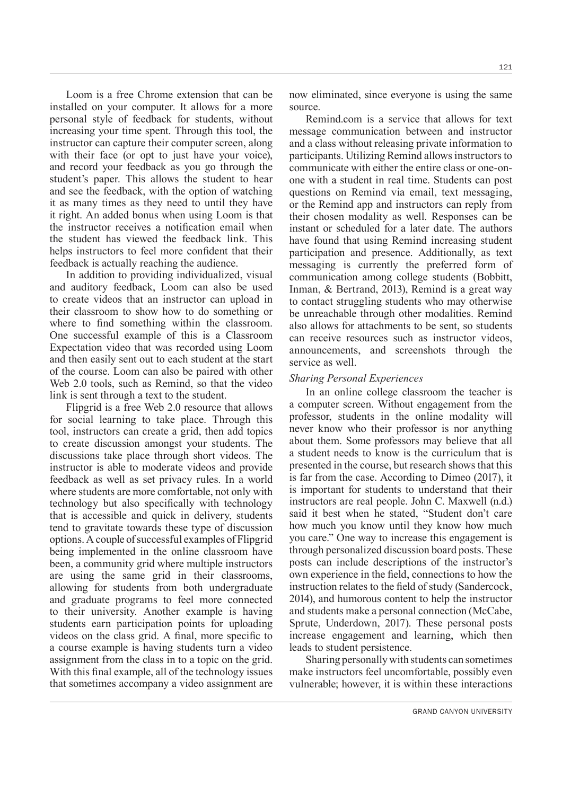Loom is a free Chrome extension that can be installed on your computer. It allows for a more personal style of feedback for students, without increasing your time spent. Through this tool, the instructor can capture their computer screen, along with their face (or opt to just have your voice), and record your feedback as you go through the student's paper. This allows the student to hear and see the feedback, with the option of watching it as many times as they need to until they have it right. An added bonus when using Loom is that the instructor receives a notification email when the student has viewed the feedback link. This helps instructors to feel more confident that their feedback is actually reaching the audience.

In addition to providing individualized, visual and auditory feedback, Loom can also be used to create videos that an instructor can upload in their classroom to show how to do something or where to find something within the classroom. One successful example of this is a Classroom Expectation video that was recorded using Loom and then easily sent out to each student at the start of the course. Loom can also be paired with other Web 2.0 tools, such as Remind, so that the video link is sent through a text to the student.

Flipgrid is a free Web 2.0 resource that allows for social learning to take place. Through this tool, instructors can create a grid, then add topics to create discussion amongst your students. The discussions take place through short videos. The instructor is able to moderate videos and provide feedback as well as set privacy rules. In a world where students are more comfortable, not only with technology but also specifically with technology that is accessible and quick in delivery, students tend to gravitate towards these type of discussion options. A couple of successful examples of Flipgrid being implemented in the online classroom have been, a community grid where multiple instructors are using the same grid in their classrooms, allowing for students from both undergraduate and graduate programs to feel more connected to their university. Another example is having students earn participation points for uploading videos on the class grid. A final, more specific to a course example is having students turn a video assignment from the class in to a topic on the grid. With this final example, all of the technology issues that sometimes accompany a video assignment are now eliminated, since everyone is using the same source.

Remind.com is a service that allows for text message communication between and instructor and a class without releasing private information to participants. Utilizing Remind allows instructors to communicate with either the entire class or one-onone with a student in real time. Students can post questions on Remind via email, text messaging, or the Remind app and instructors can reply from their chosen modality as well. Responses can be instant or scheduled for a later date. The authors have found that using Remind increasing student participation and presence. Additionally, as text messaging is currently the preferred form of communication among college students (Bobbitt, Inman, & Bertrand, 2013), Remind is a great way to contact struggling students who may otherwise be unreachable through other modalities. Remind also allows for attachments to be sent, so students can receive resources such as instructor videos, announcements, and screenshots through the service as well.

## *Sharing Personal Experiences*

In an online college classroom the teacher is a computer screen. Without engagement from the professor, students in the online modality will never know who their professor is nor anything about them. Some professors may believe that all a student needs to know is the curriculum that is presented in the course, but research shows that this is far from the case. According to Dimeo (2017), it is important for students to understand that their instructors are real people. John C. Maxwell (n.d.) said it best when he stated, "Student don't care how much you know until they know how much you care." One way to increase this engagement is through personalized discussion board posts. These posts can include descriptions of the instructor's own experience in the field, connections to how the instruction relates to the field of study (Sandercock, 2014), and humorous content to help the instructor and students make a personal connection (McCabe, Sprute, Underdown, 2017). These personal posts increase engagement and learning, which then leads to student persistence.

Sharing personally with students can sometimes make instructors feel uncomfortable, possibly even vulnerable; however, it is within these interactions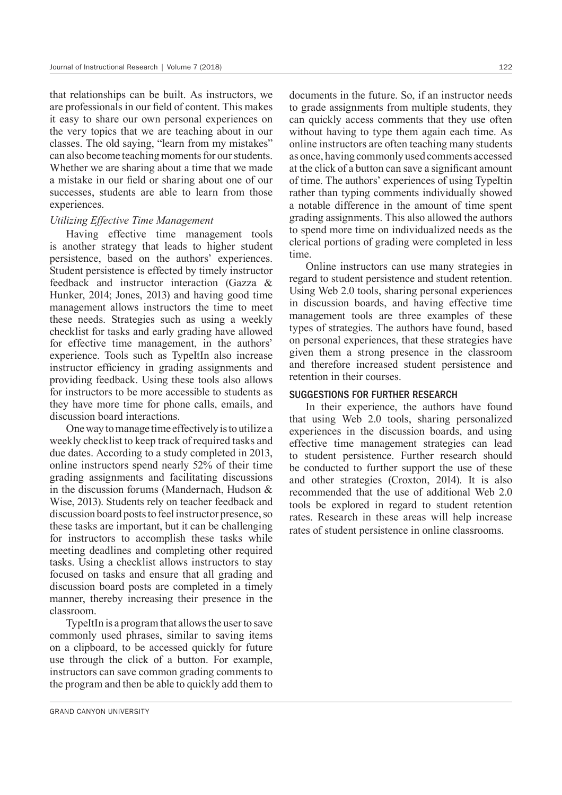that relationships can be built. As instructors, we are professionals in our field of content. This makes it easy to share our own personal experiences on the very topics that we are teaching about in our classes. The old saying, "learn from my mistakes" can also become teaching moments for our students. Whether we are sharing about a time that we made a mistake in our field or sharing about one of our successes, students are able to learn from those experiences.

#### *Utilizing Effective Time Management*

Having effective time management tools is another strategy that leads to higher student persistence, based on the authors' experiences. Student persistence is effected by timely instructor feedback and instructor interaction (Gazza & Hunker,  $2014$ ; Jones,  $2013$ ) and having good time management allows instructors the time to meet these needs. Strategies such as using a weekly checklist for tasks and early grading have allowed for effective time management, in the authors' experience. Tools such as TypeItIn also increase instructor efficiency in grading assignments and providing feedback. Using these tools also allows for instructors to be more accessible to students as they have more time for phone calls, emails, and discussion board interactions.

One way to manage time effectively is to utilize a weekly checklist to keep track of required tasks and due dates. According to a study completed in 2013, online instructors spend nearly 52% of their time grading assignments and facilitating discussions in the discussion forums (Mandernach, Hudson & Wise, 2013). Students rely on teacher feedback and discussion board posts to feel instructor presence, so these tasks are important, but it can be challenging for instructors to accomplish these tasks while meeting deadlines and completing other required tasks. Using a checklist allows instructors to stay focused on tasks and ensure that all grading and discussion board posts are completed in a timely manner, thereby increasing their presence in the classroom.

TypeItIn is a program that allows the user to save commonly used phrases, similar to saving items on a clipboard, to be accessed quickly for future use through the click of a button. For example, instructors can save common grading comments to the program and then be able to quickly add them to documents in the future. So, if an instructor needs to grade assignments from multiple students, they can quickly access comments that they use often without having to type them again each time. As online instructors are often teaching many students as once, having commonly used comments accessed at the click of a button can save a significant amount of time. The authors' experiences of using TypeItin rather than typing comments individually showed a notable difference in the amount of time spent grading assignments. This also allowed the authors to spend more time on individualized needs as the clerical portions of grading were completed in less time.

Online instructors can use many strategies in regard to student persistence and student retention. Using Web 2.0 tools, sharing personal experiences in discussion boards, and having effective time management tools are three examples of these types of strategies. The authors have found, based on personal experiences, that these strategies have given them a strong presence in the classroom and therefore increased student persistence and retention in their courses.

#### SUGGESTIONS FOR FURTHER RESEARCH

In their experience, the authors have found that using Web 2.0 tools, sharing personalized experiences in the discussion boards, and using effective time management strategies can lead to student persistence. Further research should be conducted to further support the use of these and other strategies (Croxton, 2014). It is also recommended that the use of additional Web 2.0 tools be explored in regard to student retention rates. Research in these areas will help increase rates of student persistence in online classrooms.

GRAND CANYON UNIVERSITY